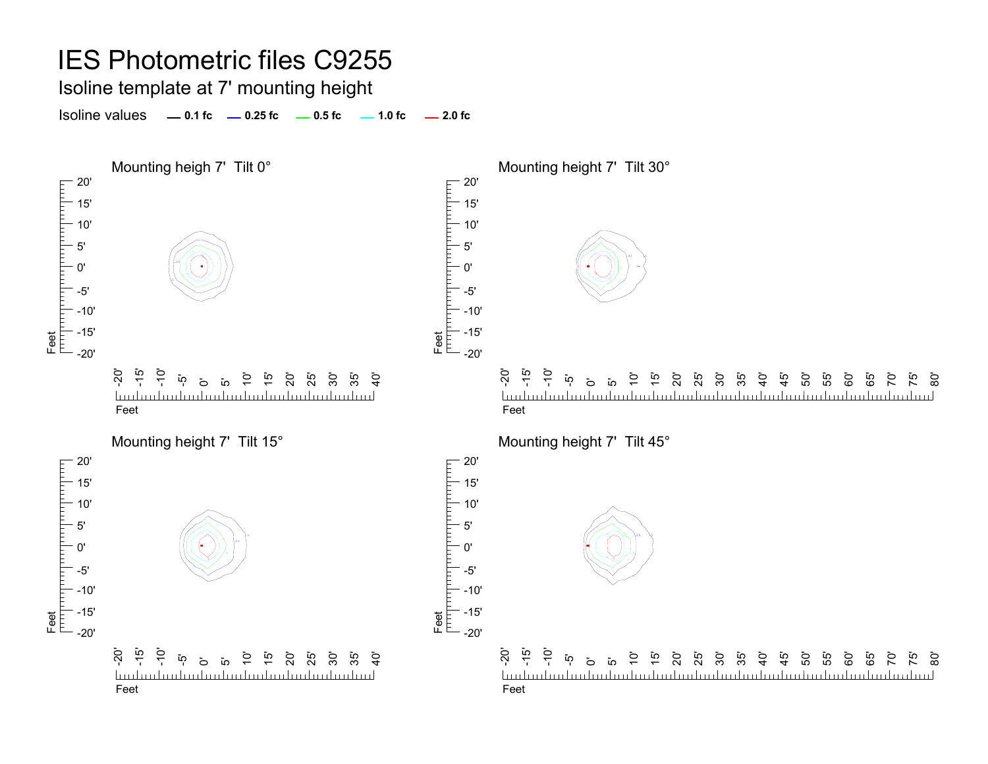Isoline template at 7' mounting height

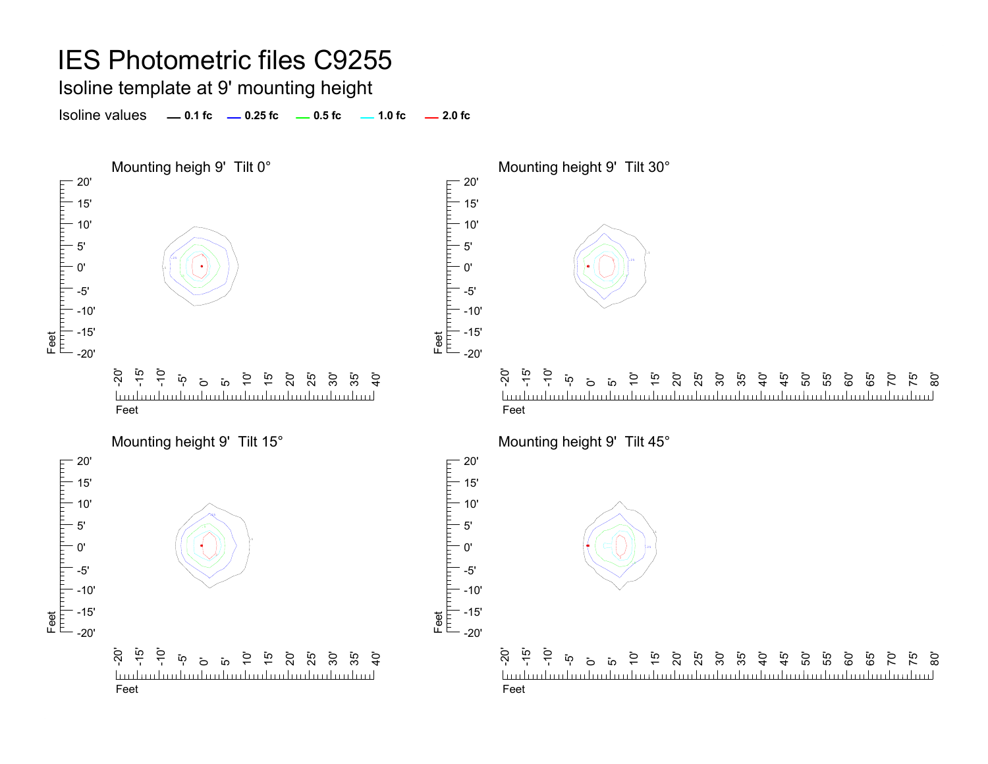Isoline template at 9' mounting height

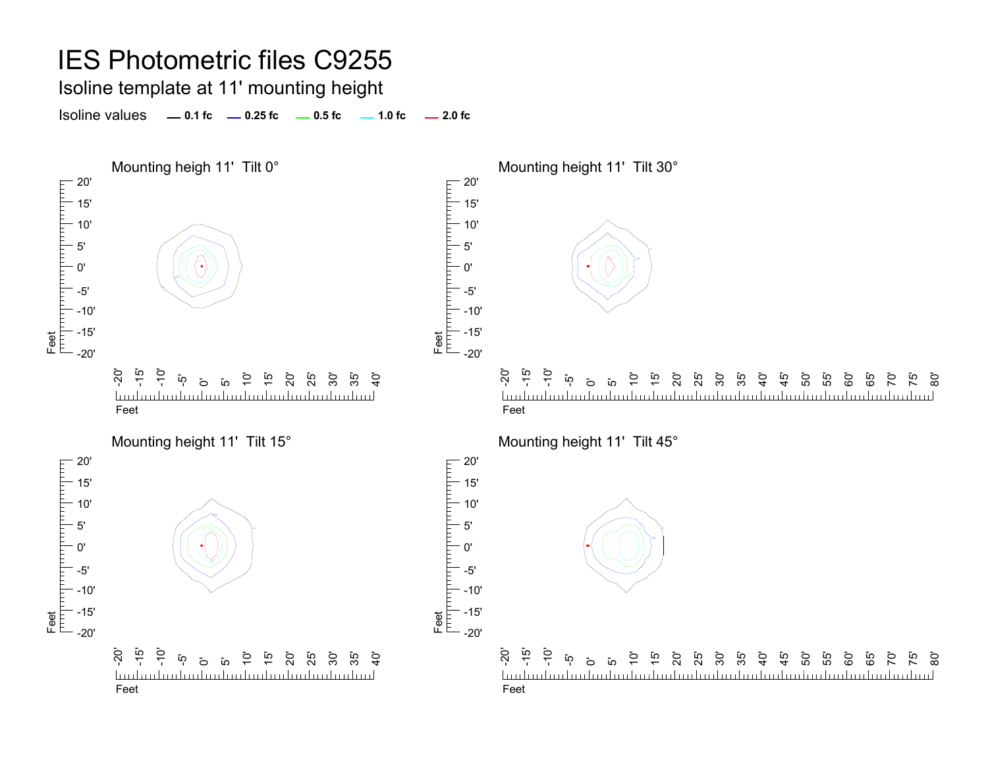Isoline template at 11' mounting height

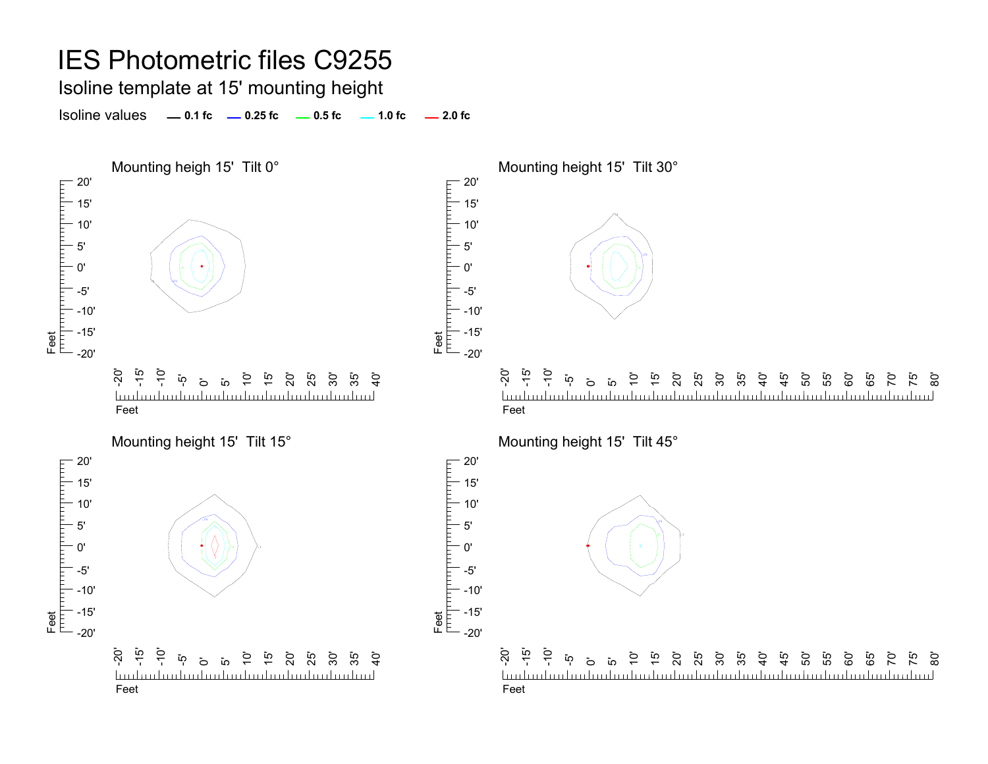Isoline template at 15' mounting height

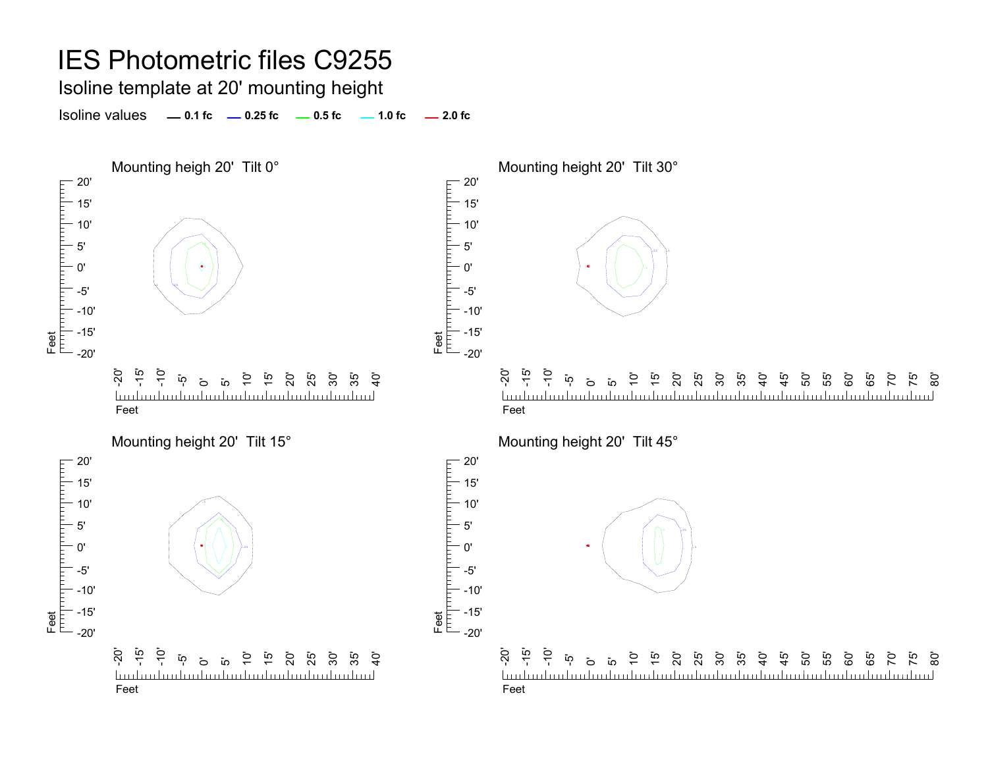Isoline template at 20' mounting height

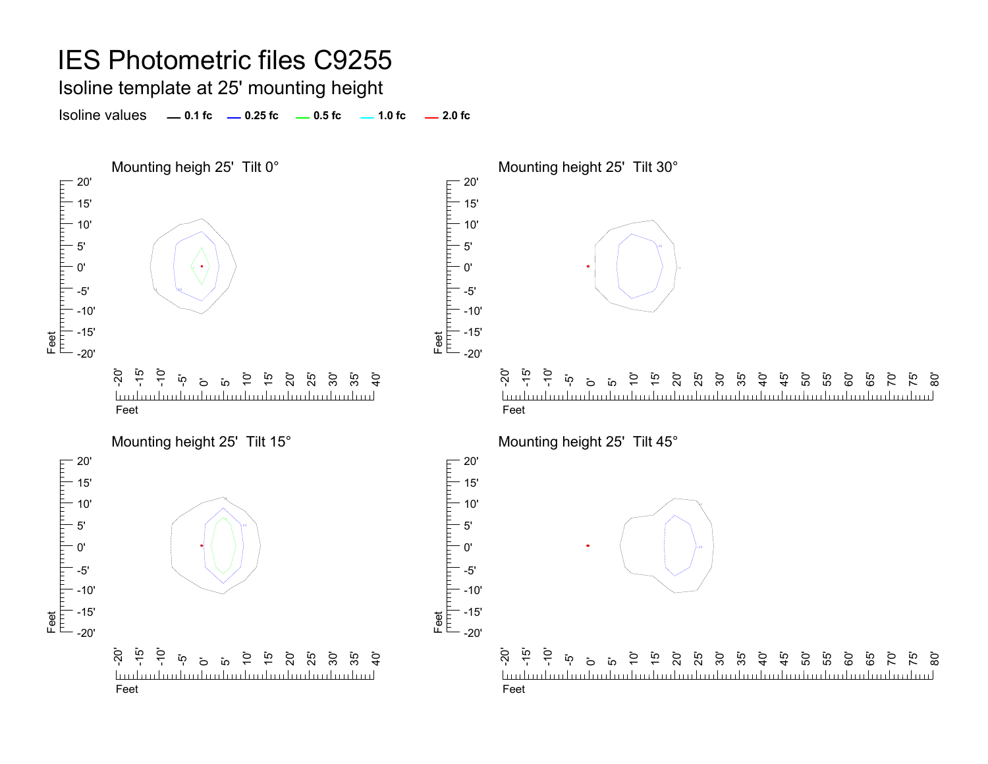Isoline template at 25' mounting height

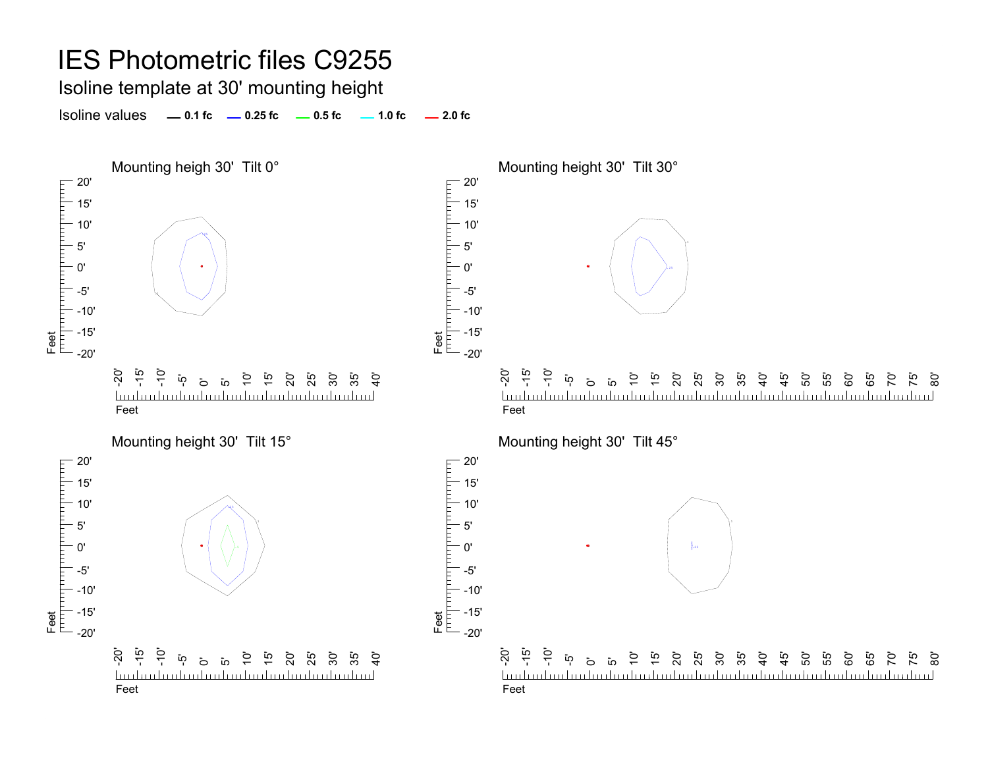Isoline template at 30' mounting height